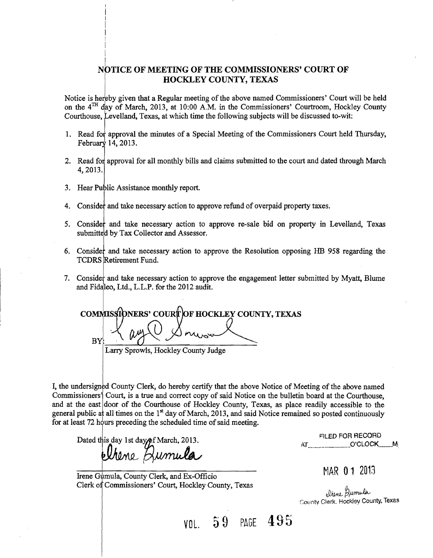## NOTICE OF MEETING OF THE COMMISSIONERS' COURT OF **HOCKLEY COUNTY, TEXAS**

Notice is hereby given that a Regular meeting of the above named Commissioners' Court will be held on the  $4^{TH}$  day of March, 2013, at 10:00 A.M. in the Commissioners' Courtroom, Hockley County Courthouse, Levelland, Texas, at which time the following subjects will be discussed to-wit:

- 1. Read for approval the minutes of a Special Meeting of the Commissioners Court held Thursday, February 14, 2013.
- 2. Read for approval for all monthly bills and claims submitted to the court and dated through March 4,2013.
- 3. Hear Public Assistance monthly report.

I  $\mathbf{I}$ 

- 4. Consider and take necessary action to approve refund of overpaid property taxes.
- 5. Consider and take necessary action to approve re-sale bid on property in Levelland, Texas submitted by Tax Collector and Assessor.
- 6. Consider and take necessary action to approve the Resolution opposing HB 958 regarding the TCDRS Retirement Fund.
- 7. Consider and take necessary action to approve the engagement letter submitted by Myatt, Blume and Fidaleo, Ltd., L.L.P. for the 2012 audit.

COMMISSIONERS' COURT OF HOCKLEY COUNTY, TEXAS  $BY$ Larry Sprowls, Hockley County Judge

I, the undersigned County Clerk, do hereby certify that the above Notice of Meeting of the above named commissionersj Court, is a true and correct copy of said Notice on the bulletin board at the Courthouse, and at the east door of the Courthouse of Hockley County, Texas, as place readily accessible to the general public at all times on the  $1<sup>st</sup>$  day of March, 2013, and said Notice remained so posted continuously for at least 72 hours preceding the scheduled time of said meeting.

Dated this day 1st day of March, 2013.<br>  $M_{\star}$  ...  $M_{\star}$  ...  $M_{\star}$   $M_{\star}$  ...  $M_{\star}$  ...  $M_{\star}$  ...  $M_{\star}$  ...  $M_{\star}$ 

Irene Gymula, County Clerk, and Ex-Officio MAR  $0.1$  2013 Clerk of Commissioners' Court, Hockley County, Texas

whene gumula<br>County Clerk. Hockley County, Texas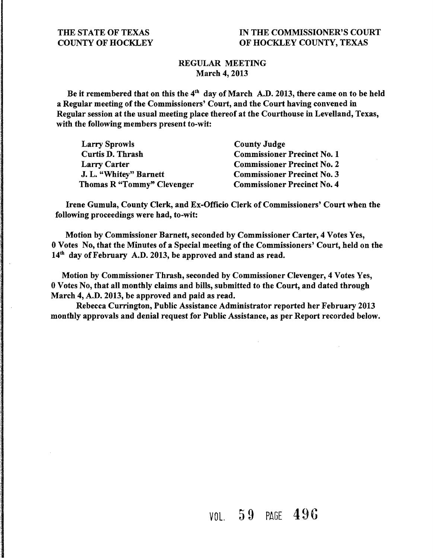## IN THE COMMISSIONER'S COURT OF HOCKLEY COUNTY, TEXAS

## REGULAR MEETING March 4, 2013

Be it remembered that on this the  $4<sup>th</sup>$  day of March A.D. 2013, there came on to be held a Regular meeting of the Commissioners' Court, and the Court having convened in Regular session at the usual meeting place thereof at the Courthouse in Levelland, Texas, with the following members present to-wit:

| <b>Larry Sprowls</b>       | <b>County Judge</b>                |
|----------------------------|------------------------------------|
| <b>Curtis D. Thrash</b>    | <b>Commissioner Precinct No. 1</b> |
| <b>Larry Carter</b>        | <b>Commissioner Precinct No. 2</b> |
| J. L. "Whitey" Barnett     | <b>Commissioner Precinct No. 3</b> |
| Thomas R "Tommy" Clevenger | <b>Commissioner Precinct No. 4</b> |

Irene Gumula, County Clerk, and Ex-Officio Clerk of Commissioners' Court when the following proceedings were had, to-wit:

Motion by Commissioner Barnett, seconded by Commissioner Carter, 4 Votes Yes, 0 Votes No, that the Minutes of a Special meeting of the Commissioners' Court, held on the 14<sup>th</sup> day of February A.D. 2013, be approved and stand as read.

Motion by Commissioner Thrash, seconded by Commissioner Clevenger, 4 Votes Yes, 0 Votes No, that all monthly claims and bills, submitted to the Court, and dated through March 4, A.D. 2013, be approved and paid as read.

Rebecca Currington, Public Assistance Administrator reported her February 2013 monthly approvals and denial request for Public Assistance, as per Report recorded below.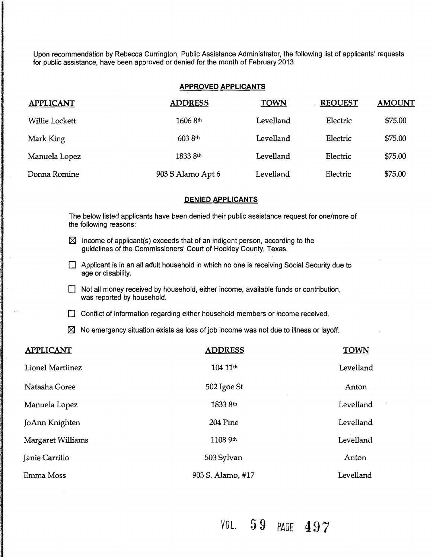Upon recommendation by Rebecca Currington, Public Assistance Administrator, the following list of applicants' requests for public assistance, have been approved or denied for the month of February 2013

### APPROVED APPLICANTS

| <b>APPLICANT</b> | <b>ADDRESS</b>    | <b>TOWN</b> | <b>REQUEST</b> | <b>AMOUNT</b> |
|------------------|-------------------|-------------|----------------|---------------|
| Willie Lockett   | 1606 8th          | Levelland   | Electric       | \$75.00       |
| Mark King        | 603 8th           | Levelland   | Electric       | \$75.00       |
| Manuela Lopez    | 1833 8th          | Levelland   | Electric       | \$75.00       |
| Donna Romine     | 903 S Alamo Apt 6 | Levelland   | Electric       | \$75.00       |

### DENIED APPLICANTS

The below listed applicants have been denied their public assistance request for one/more of the following reasons:

- $\boxtimes$  Income of applicant(s) exceeds that of an indigent person, according to the guidelines of the Commissioners' Court of Hockley County, Texas.
- $\Box$  Applicant is in an all adult household in which no one is receiving Social Security due to age or disability.
- $\Box$  Not all money received by household, either income, available funds or contribution, was reported by household.
- $\Box$  Conflict of information regarding either household members or income received.

 $\boxtimes$  No emergency situation exists as loss of job income was not due to illness or layoff.

| <b>APPLICANT</b>  | <b>ADDRESS</b>    | <b>TOWN</b> |
|-------------------|-------------------|-------------|
| Lionel Martiinez  | 104 11th          | Levelland   |
| Natasha Goree     | 502 Igoe St       | Anton       |
| Manuela Lopez     | 1833 8th          | Levelland   |
| JoAnn Knighten    | 204 Pine          | Levelland   |
| Margaret Williams | 1108 9th          | Levelland   |
| Janie Carrillo    | 503 Sylvan        | Anton       |
| Emma Moss         | 903 S. Alamo, #17 | Levelland   |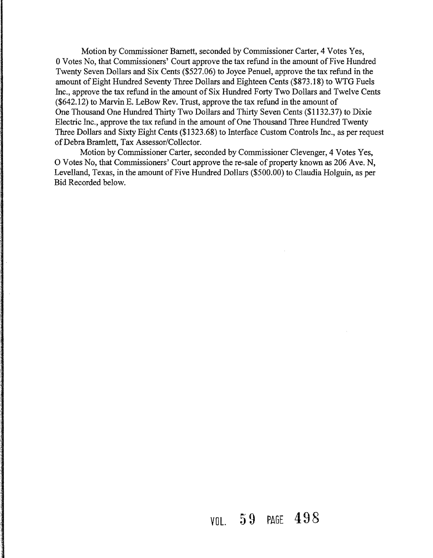Motion by Commissioner Bamett, seconded by Commissioner Carter, 4 Votes Yes, 0 Votes No, that Commissioners' Court approve the tax refund in the amount of Five Hundred Twenty Seven Dollars and Six Cents (\$527.06) to Joyce Penuel, approve the tax refund in the amount of Eight Hundred Seventy Three Dollars and Eighteen Cents (\$873.18) to WTG Fuels Inc., approve the tax refund in the amount of Six Hundred Forty Two Dollars and Twelve Cents (\$642.12) to Marvin E. LeBow Rev. Trust, approve the tax refund in the amount of One Thousand One Hundred Thirty Two Dollars and Thirty Seven Cents (\$1132.37) to Dixie Electric Inc., approve the tax refund in the amount of One Thousand Three Hundred Twenty Three Dollars and Sixty Eight Cents (\$1323.68) to Interface Custom Controls Inc., as per request ofDebra Bramlett, Tax Assessor/Collector.

Motion by Commissioner Carter, seconded by Commissioner Clevenger, 4 Votes Yes, O Votes No, that Commissioners' Court approve the re-sale of property known as 206 Ave. N, Levelland, Texas, in the amount of Five Hundred Dollars (\$500.00) to Claudia Holguin, as per Bid Recorded below.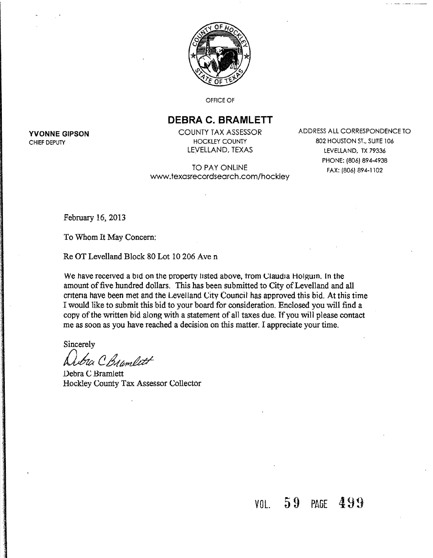

OFFICE OF

## **DEBRA C. BRAMLETT**

TO PAY ONLINE www.texasrecordsearch.com/hockley

**YVONNE GIPSON** COUNTY TAX ASSESSOR ADDRESS ALL CORRESPONDENCE TO CHIEF DEPUTY THOCKLEY COUNTY And CHIEF DEPUTY And CHIEF DEPUTY CHIEF DEPUTY<br>LEVELLAND, TEXAS LEVELLAND, TO LEVELLAND, TX 79336 LEVELLAND, TX 79336 PHONE: 1806) 894-4938 FAX: (806) 894-1102

February 16, 2013

To Whom It May Concern:

Re OT Levelland Block 80 Lot 10 206 Ave n

We have received a bid on the property listed above, from Claudia Holguin. In the amount of five hundred dollars. This has been submitted to City of Levelland and all cntena have been met and the Levelland City Council has approved this bid. At this time I would like to submit this bid to your board for consideration. Enclosed you will find a copy of the written bid along with a statement of all taxes due. If you will please contact me as soon as you have reached a decision on this matter. I appreciate your time.

**Sincerely** 

1a C Bramlett

Debra C Bramlett Hockley County Tax Assessor Collector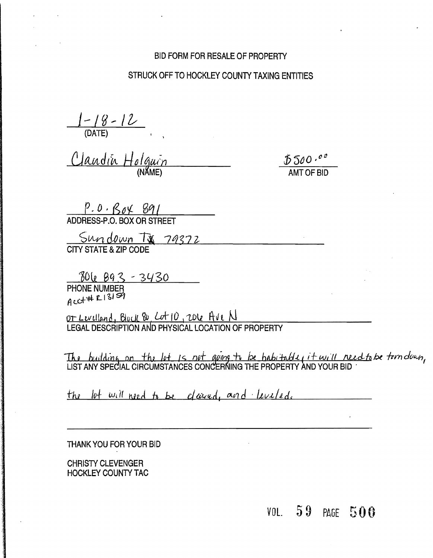## BID FORM FOR RESALE OF PROPERTY

## STRUCK OFF TO HOCKLEY COUNTY TAXING ENTITIES

J-IY-It {DATE}

Claudin Holguin

*\$500 ,oa*  AMTOF BID

 $P. O. B_0 \swarrow 891$ <br>ADDRESS-P.O. BOX OR STREET

Sundown TX 79372 CITY STATE &**ZIP** CODE

PHONE NUMBER<br>acc+++ El3159

*or* LLVtHMC I BjoLlL <60 , Lur *10* ,'toll litvl 1J LEGAL DESCRIPTION AND PHYSICAL LOCATION OF PROPERTY

The building on the let is net geing to be *habitable, it will need to be tern deun* LIST ANY SPECIAL CIRCUMSTANCES CONCERNING THE PROPERTY AND YOUR BID  $\,$   $\,$   $\,$ 

the lot will need to be cleared, and leveled.

THANK YOU FOR YOUR BID

CHRISTY CLEVENGER HOCKLEY COUNTY TAC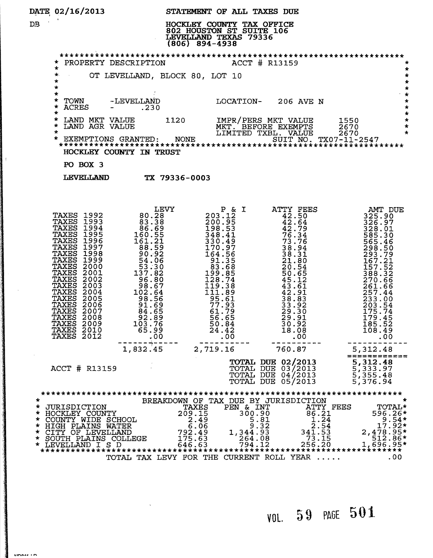| DATE 02/16/2013 |  |  |
|-----------------|--|--|
|                 |  |  |

 $\vert \vert$ 

 $1.1$ 

DATE 02/16/2013 STATEMENT OF ALL TAXES DUE<br>DB DB . HOCKLEY COUNTY TAX OFFICE 802 HOUSTON ST SUITE 106 LEVELLAND TEXAS 79336

|         | LEVELLAND TEXAS 79336<br>$(806)$ 894-4938                                                                                                                                                                                                                                                                                                                                                                                |                                                                                                                                                                                                                                     |                                                                                        |                                                                                                                                                                                      |                                                                                                                                                                                                                                                                                      |
|---------|--------------------------------------------------------------------------------------------------------------------------------------------------------------------------------------------------------------------------------------------------------------------------------------------------------------------------------------------------------------------------------------------------------------------------|-------------------------------------------------------------------------------------------------------------------------------------------------------------------------------------------------------------------------------------|----------------------------------------------------------------------------------------|--------------------------------------------------------------------------------------------------------------------------------------------------------------------------------------|--------------------------------------------------------------------------------------------------------------------------------------------------------------------------------------------------------------------------------------------------------------------------------------|
|         |                                                                                                                                                                                                                                                                                                                                                                                                                          |                                                                                                                                                                                                                                     | * PROPERTY DESCRIPTION ACCT # R13159                                                   |                                                                                                                                                                                      | *                                                                                                                                                                                                                                                                                    |
|         | $\star$<br>∗.<br>*<br>*                                                                                                                                                                                                                                                                                                                                                                                                  |                                                                                                                                                                                                                                     | OT LEVELLAND, BLOCK 80, LOT 10                                                         |                                                                                                                                                                                      | $\star$<br>$\star$<br>$\star$<br>$\star$                                                                                                                                                                                                                                             |
|         | $\star$<br>TOWN<br>$\star$<br><b>ACRES</b><br>$\star$<br>$\star$                                                                                                                                                                                                                                                                                                                                                         | -LEVELLAND<br>$-$ .230                                                                                                                                                                                                              |                                                                                        | LOCATION- 206 AVE N                                                                                                                                                                  | 一大<br>$\star$<br>$\star$<br>$\star$                                                                                                                                                                                                                                                  |
|         |                                                                                                                                                                                                                                                                                                                                                                                                                          | LAND MKT VALUE 1120<br>LAND AGR VALUE 1120                                                                                                                                                                                          |                                                                                        |                                                                                                                                                                                      |                                                                                                                                                                                                                                                                                      |
|         |                                                                                                                                                                                                                                                                                                                                                                                                                          | HOCKLEY COUNTY IN TRUST                                                                                                                                                                                                             |                                                                                        |                                                                                                                                                                                      |                                                                                                                                                                                                                                                                                      |
|         | PO BOX 3                                                                                                                                                                                                                                                                                                                                                                                                                 |                                                                                                                                                                                                                                     |                                                                                        |                                                                                                                                                                                      |                                                                                                                                                                                                                                                                                      |
|         | <b>LEVELLAND</b>                                                                                                                                                                                                                                                                                                                                                                                                         | TX 79336-0003                                                                                                                                                                                                                       |                                                                                        |                                                                                                                                                                                      |                                                                                                                                                                                                                                                                                      |
|         | <b>TAXES 1992</b><br><b>TAXES 1993</b><br><b>TAXES 1994</b><br><b>TAXES 1995</b><br>TAXES<br>1996<br><b>TAXES 1997</b><br><b>TAXES 1998</b><br><b>TAXES 1999</b><br>TAXES 2000<br>TAXES 2001<br><b>TAXES 2002</b><br><b>TAXES 2003</b><br><b>TAXES</b><br>2004<br><b>TAXES</b><br>2005<br>TAXES<br>2006<br><b>TAXES</b><br>2007<br><b>TAXES</b><br>2008<br><b>TAXES</b><br>2009<br>TAXES<br>2010<br><b>TAXES</b><br>2012 | <b>EEVY<br/> 80.288</b><br>83.388<br>83.389<br>83.389<br>861.51511<br>861.5219<br>92.9282.066<br>92.37.820<br>982.537.820<br>982.5644<br>92.86744<br>92.85.99<br>981.55996<br>92.796<br>92.796<br>92.790<br>93.790<br>93.790<br>.00 |                                                                                        |                                                                                                                                                                                      | P & I<br>200.125<br>198.53<br>42.50<br>198.53<br>42.50<br>42.50<br>325.997<br>325.997<br>325.997<br>42.50<br>325.997<br>325.997<br>328.01<br>328.01<br>328.01<br>328.01<br>328.01<br>328.01<br>328.01<br>328.01<br>328.01<br>328.01<br>328.01<br>328.01<br>328.01<br>328.01<br>585.3 |
|         |                                                                                                                                                                                                                                                                                                                                                                                                                          | 1,832.45                                                                                                                                                                                                                            | 2,719.16                                                                               | 760.87                                                                                                                                                                               | 5,312.48                                                                                                                                                                                                                                                                             |
|         | ACCT # R13159                                                                                                                                                                                                                                                                                                                                                                                                            |                                                                                                                                                                                                                                     |                                                                                        | <b>TOTAL DUE 02/2013</b><br>TOTAL DUE 03/2013<br>TOTAL DUE 04/2013<br>TOTAL DUE 05/2013                                                                                              | 5,312.48<br>5,333.97<br>5,355.48<br>5,376.94                                                                                                                                                                                                                                         |
| $\star$ | * JURISDICTION<br>* HOCKLEY COUNTY<br>* COUNTY WIDE SCHOOL<br>* HIGH PLAINS WATER<br>* CITY OF LEVELLAND<br>* SOUTH PLAINS COLLEGE<br>* LEVELLAND I S D                                                                                                                                                                                                                                                                  |                                                                                                                                                                                                                                     | TAXES<br>PEN & INT<br>209.15<br>2.49<br>6.06<br>1,344.93<br>792.49<br>175.63<br>646.63 | BREAKDOWN OF TAX DUE BY JURISDICTION<br>300.90<br>86.21<br>5.81<br>1.24<br>2.54<br>9.32<br>341.53<br>264.08<br>73.15<br>256.20<br>794.12<br>TOTAL TAX LEVY FOR THE CURRENT ROLL YEAR | ATTY FEES<br><b>TOTAL*</b><br>596.26*<br>$9.54*$<br>17.92*<br>2,478.95*<br>512.86*<br>$1,696.95*$<br>.00                                                                                                                                                                             |
|         |                                                                                                                                                                                                                                                                                                                                                                                                                          |                                                                                                                                                                                                                                     |                                                                                        |                                                                                                                                                                                      |                                                                                                                                                                                                                                                                                      |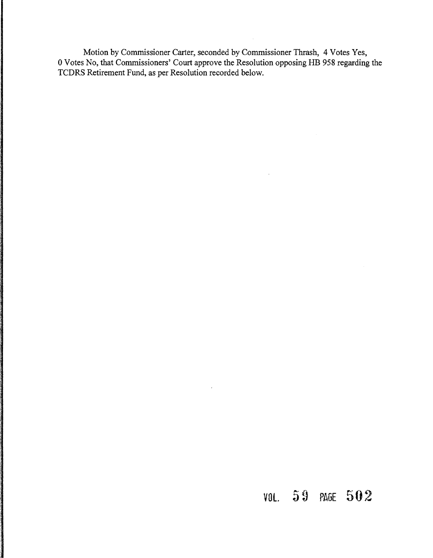Motion by Commissioner Carter, seconded by Commissioner Thrash, 4 Votes Yes, 0 Votes No, that Commissioners' Court approve the Resolution opposing HB 958 regarding the TCDRS Retirement Fund, as per Resolution recorded below.

# VOL PAGE 502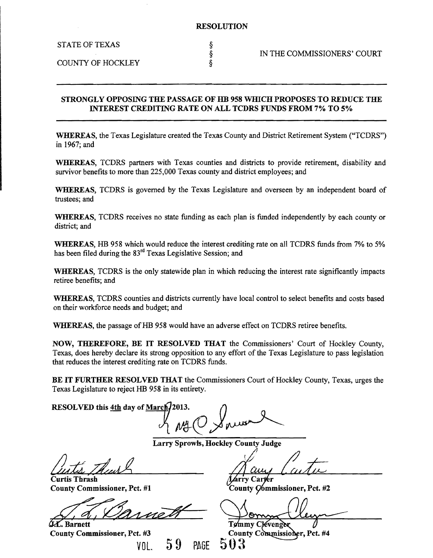STATE OF TEXAS

COUNTY OF HOCKLEY §

### STRONGLY OPPOSING THE PASSAGE OF HB 958 WHICH PROPOSES TO REDUCE THE INTEREST CREDITING RATE ON ALL TCDRS FUNDS FROM 7% TO 5%

WHEREAS, the Texas Legislature created the Texas County and District Retirement System ("TCDRS") in 1967; and

WHEREAS, TCDRS partners with Texas counties and districts to provide retirement, disability and survivor benefits to more than 225,000 Texas county and district employees; and

WHEREAS, TCDRS is governed by the Texas Legislature and overseen by an independent board of trustees; and

WHEREAS, TCDRS receives no state funding as each plan is funded independently by each county or district; and

WHEREAS, HB 958 which would reduce the interest crediting rate on all TCDRS funds from 7% to 5% has been filed during the 83<sup>rd</sup> Texas Legislative Session; and

WHEREAS, TCDRS is the only statewide plan in which reducing the interest rate significantly impacts retiree benefits; and

WHEREAS, TCDRS counties and districts currently have local control to select benefits and costs based on their workforce needs and budget; and

WHEREAS, the passage of HB 958 would have an adverse effect on TCDRS retiree benefits.

NOW, THEREFORE, BE IT RESOLVED THAT the Commissioners' Court of Hockley County, Texas, does hereby declare its strong opposition to any effort of the Texas Legislature to pass legislation that reduces the interest crediting rate on TCDRS funds.

BE IT FURTHER RESOLVED THAT the Commissioners Court of Hockley County, Texas, urges the Texas Legislature to reject HB 958 in its entirety.

RESOLVED this 4th day of March/2013.

Larry Sprowls, Hockley County Judge

Curtis Thrash County Commissioner, Pet. #1

L.C. Barnett

County Commissioner, Pet. #3 VOL. 59 PAGE

1  $\mathscr{D}$ 

rry Carter County Commissioner, Pct. #2

Tommy Clevenger County Commissioner, Pct. #4 503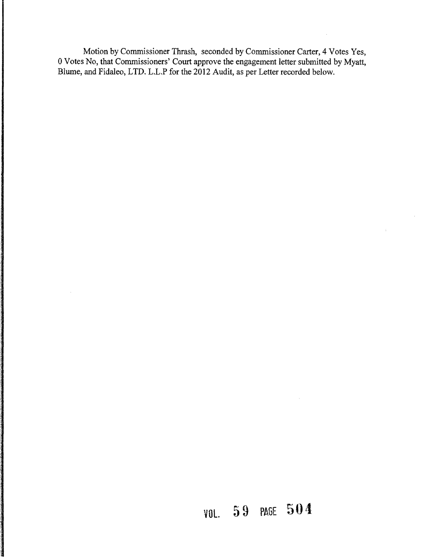Motion by Commissioner Thrash, seconded by Commissioner Carter, 4 Votes Yes, 0 Votes No, that Commissioners' Court approve the engagement letter submitted by Myatt, Blume, and Fidaleo, LTD. L.L.P for the 2012 Audit, as per Letter recorded below.

# **VOl. 59** PAGE **504:**

 $\mathcal{L}^{\mathcal{I}}$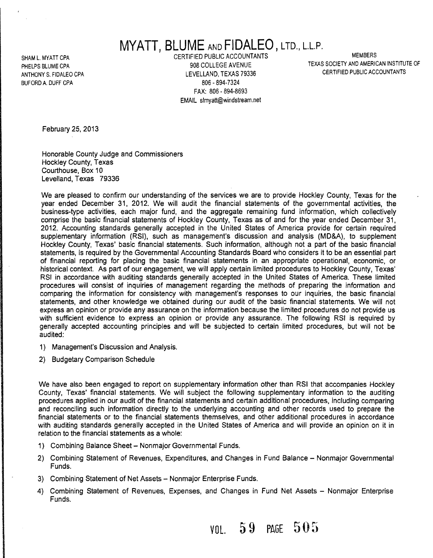# **MYATT, BLUME** AND **FIDALEO** J LTD., L.L.P.

SHAM L. MYATT CPA MEMBERS CERTIFIED PUBLIC ACCOUNTANTS ANTHONY S. FIDALEO CPA LEVELLAND, TEXAS 79336 BUFORD A. DUFF CPA 806 - 894-7324 FAX: 806 - 894-8693 EMAIL slmyatt@windstream.net

PHELPS BLUME CPA **908 COLLEGE AVENUE** 908 COLLEGE AVENUE TEXAS SOCIETY AND AMERICAN INSTITUTE OF

February 25, 2013

Honorable County Judge and Commissioners Hockley County, Texas Courthouse, Box 10 Levelland, Texas 79336

We are pleased to confirm our understanding of the services we are to provide Hockley County. Texas for the year ended December 31, 2012. We will audit the financial statements of the governmental activities, the business-type activities, each major fund, and the aggregate remaining fund information, which collectively comprise the basic financial statements of Hockley County, Texas as of and for the year ended December 31, 2012. Accounting standards generally accepted in the United States of America provide for certain required supplementary information (RSI), such as management's discussion and analysis (MD&A), to supplement Hockley County, Texas' basic financial statements. Such information, although not a part of the basic financial statements, is required by the Governmental Accounting Standards Board who considers it to be an essential part of financial reporting for placing the basic financial statements in an appropriate operational, economic, or historical context. As part of our engagement, we will apply certain limited procedures to Hockley County, Texas' RSI in accordance with auditing standards generally accepted in the United States of America. These limited procedures will consist of inquiries of management regarding the methods of preparing the information and comparing the information for consistency with management's responses to our inquiries, the basic financial statements, and other knowledge we obtained during our audit of the basic financial statements. We will not express an opinion or provide any assurance on the information because the limited procedures do not provide us with sufficient evidence to express an opinion or provide any assurance. The following RSI is required by generally accepted accounting principles and will be subjected to certain limited procedures, but will not be audited:

- 1) Management's Discussion and Analysis.
- 2) Budgetary Comparison Schedule

We have also been engaged to report on supplementary information other than RSI that accompanies Hockley County. Texas' financial statements. We will subject the following supplementary information to the auditing procedures applied in our audit of the financial statements and certain additional procedures, including comparing and reconciling such information directly to the underlying accounting and other records used to prepare the financial statements or to the financial statements themselves, and other additional procedures in accordance with auditing standards generally accepted in the United States of America and will provide an opinion on it in relation to the financial statements as a whole:

- 1) Combining Balance Sheet Nonmajor Governmental Funds.
- 2) Combining Statement of Revenues, Expenditures, and Changes in Fund Balance Nonmajor Governmental Funds.
- 3) Combining Statement of Net Assets Nonmajor Enterprise Funds.
- 4) Combining Statement of Revenues, Expenses, and Changes in Fund Net Assets Nonmajor Enterprise Funds.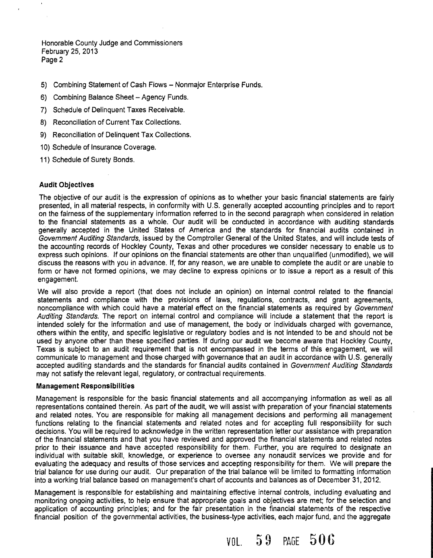Honorable County Judge and Commissioners February 25,2013 Page 2

- 5) Combining Statement of Cash Flows Nonmajor Enterprise Funds.
- 6) Combining Balance Sheet Agency Funds.
- 7) Schedule of Delinquent Taxes Receivable.
- 8) Reconciliation of Current Tax Collections.
- 9) Reconciliation of Delinquent Tax Collections.
- 10) Schedule of Insurance Coverage.
- 11) Schedule of Surety Bonds.

### **Audit Objectives**

The objective of our audit is the expression of opinions as to whether your basic financial statements are fairly presented, in all material respects, in conformity with U.S. generally accepted accounting principles and to report on the fairness of the supplementary information referred to in the second paragraph when considered in relation to the financial statements as a whole. Our audit will be conducted in accordance with auditing standards generally accepted in the United States of America and the standards for financial audits contained in Government Auditing Standards, issued by the Comptroller General of the United States, and will include tests of the accounting records of Hockley County, Texas and other procedures we consider necessary to enable us to express such opinions. If our opinions on the financial statements are other than unqualified (unmodified), we will discuss the reasons with you in advance. If, for any reason, we are unable to complete the audit or are unable to form or have not formed opinions, we may decline to express opinions or to issue a report as a result of this engagement.

We will also provide a report (that does not include an opinion) on internal control related to the financial statements and compliance with the provisions of laws, regulations, contracts, and grant agreements, noncompliance with which could have a material effect on the financial statements as required by Government Auditing Standards. The report on internal control and compliance will include a statement that the report is intended solely for the information and use of management, the body or individuals charged with governance, others within the entity, and specific legislative or regulatory bodies and is not intended to be and should not be used by anyone other than these specified parties. If during our audit we become aware that Hockley County, Texas is subject to an audit requirement that is not encompassed in the terms of this engagement, we will communicate to management and those charged with governance that an audit in accordance with U.S. generally accepted auditing standards and the standards for financial audits contained in Government Auditing Standards may not satisfy the relevant legal, regulatory, or contractual requirements.

### **Management Responsibilities**

Management is responsible for the basic financial statements and all accompanying information as well as all representations contained therein. As part of the audit, we will assist with preparation of your financial statements and related notes. You are responsible for making all management decisions and performing all management functions relating to the financial statements and related notes and for accepting full responsibility for such decisions. You will be required to acknowledge in the written representation letter our assistance with preparation of the financial statements and that you have reviewed and approved the financial statements and related notes prior to their issuance and have accepted responsibility for them. Further, you are required to designate an individual with suitable skill, knowledge, or experience to oversee any nonaudit services we provide and for evaluating the adequacy and results of those services and accepting responsibility for them. We will prepare the trial balance for use during our audit. Our preparation of the trial balance will be limited to formatting information into a working trial balance based on management's chart of accounts and balances as of December 31,2012.

Management is responsible for establishing and maintaining effective internal controls, including evaluating and monitoring ongoing activities, to help ensure that appropriate goals and objectives are met; for the selection and application of accounting principles; and for the fair presentation in the financial statements of the respective financial position of the governmental activities, the business-type activities, each major fund, and the aggregate

VOL. 5 9 PAGE 50 6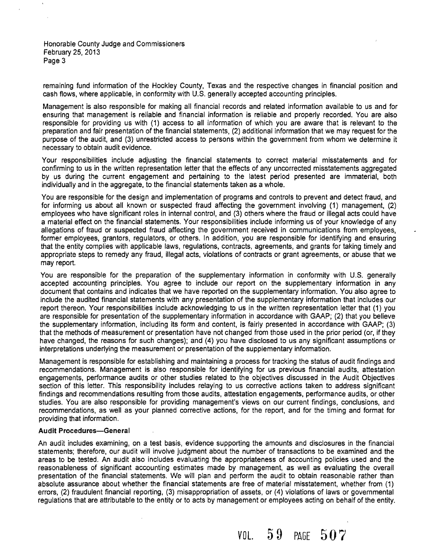Honorable County Judge and Commissioners February 25, 2013 Page 3

 $\ddot{\phantom{0}}$ 

remaining fund information of the Hockley County, Texas and the respective changes in financial position and cash flows, where applicable, in conformity with U.S. generally accepted accounting principles.

Management is also responsible for making all financial records and related information available to us and for ensuring that management is reliable and financial information is reliable and properly recorded. You are also responsible for providing us with (1) access to all information of which you are aware that is relevant to the preparation and fair presentation of the financial statements, (2) additional information that we may request for the purpose of the audit, and (3) unrestricted access to persons within the government from whom we determine it necessary to obtain audit evidence.

Your responsibilities include adjusting the financial statements to correct material misstatements and for confirming to us in the written representation letter that the effects of any uncorrected misstatements aggregated by us during the current engagement and pertaining to the latest period presented are immaterial, both individually and in the aggregate, to the financial statements taken as a whole.

You are responsible for the design and implementation of programs and controls to prevent and detect fraud, and for informing us about all known or suspected fraud affecting the government involving (1) management, (2) employees who have significant roles in internal control, and (3) others where the fraud or illegal acts could have a material effect on the financial statements. Your responsibilities include informing us of your knowledge of any allegations of fraud or suspected fraud affecting the government received in communications from employees, former employees, grantors, regulators, or others. In addition, you are responsible for identifying and ensuring that the entity complies with applicable laws, regulations, contracts, agreements. and grants for taking timely and appropriate steps to remedy any fraud, illegal acts, violations of contracts or grant agreements, or abuse that we may report.

You are responsible for the preparation of the supplementary information in conformity with U.S. generally accepted accounting principles. You agree to include our report on the supplementary information in any document that contains and indicates that we have reported on the supplementary information. You also agree to include the audited financial statements with any presentation of the supplementary information that includes our report thereon. Your responsibilities include acknowledging to us in the written representation letter that (1) you are responsible for presentation of the supplementary information in accordance with GAAP; (2) that you believe the supplementary information. including its form and content, is fairly presented in accordance with GAAP; (3) that the methods of measurement or presentation have not changed from those used in the prior period (or, if they have changed, the reasons for such changes); and (4) you have disclosed to us any significant assumptions or interpretations underlying the measurement or presentation of the supplementary information.

Management is responsible for establishing and maintaining a process for tracking the status of audit findings and recommendations. Management is also responsible for identifying for us previous financial audits, attestation engagements. performance audits or other studies related to the objectives discussed in the Audit Objectives. section of this letter. This responsibility includes relaying to us corrective actions taken to address significant findings and recommendations resulting from those audits, attestation engagements, performance audits, or other studies. You are also responsible for providing management's views on our current findings. conclusions, and recommendations, as well as your planned corrective actions, for the report, and for the timing and format for providing that information.

### **Audit Procedures-General**

An audit includes examining, on a test basis. evidence supporting the amounts and disclosures in the financial statements; therefore, our audit will involve judgment about the number of transactions to be examined and the areas to be tested. An audit also includes evaluating the appropriateness of accounting policies used and the reasonableness of significant accounting estimates made by management. as well as evaluating the overall presentation of the financial statements. We will plan and perform the audit to obtain reasonable rather than absolute assurance about whether the financial statements are free of material misstatement, whether from (1) errors, (2) fraudulent financial reporting, (3) misappropriation of assets, or (4) violations of laws or governmental regulations that are attributable to the entity or to acts by management or employees acting on behalf of the entity.

VOL. 5 9 PAGE 50 7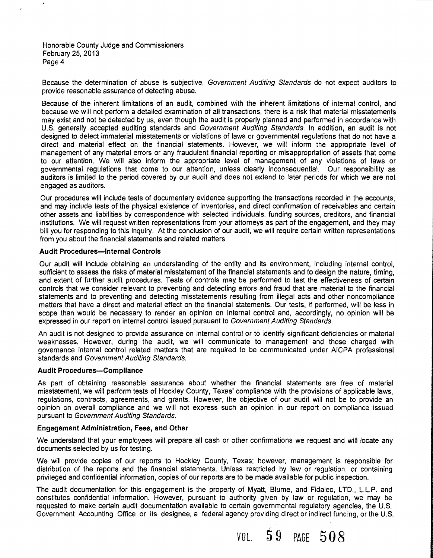Honorable County Judge and Commissioners February 25,2013 Page 4

Because the determination of abuse is subjective, Government Auditing Standards do not expect auditors to provide reasonable assurance of detecting abuse.

Because of the inherent limitations of an audit, combined with the inherent limitations of internal control, and because we will not perform a detailed examination of all transactions, there is a risk that material misstatements may exist and not be detected by us, even though the audit is properly planned and performed in accordance with U.S. generally accepted auditing standards and Government Auditing Standards. In addition, an audit is not designed to detect immaterial misstatements or violations of laws or governmental regulations that do not have a direct and material effect on the financial statements. However, we will inform the appropriate level of management of any material errors or any fraudulent financial reporting or misappropriation of assets that come to our attention. We will also inform the appropriate level of management of any violations of laws or governmental regulations that come to our attention, unless clearly inconsequential. Our responsibility as auditors is limited to the period covered by our audit and does not extend to later periods for which we are not engaged as auditors.

Our procedures will include tests of documentary evidence supporting the transactions recorded in the accounts, and may include tests of the physical existence of inventories, and direct confirmation of receivables and certain other assets and liabilities by correspondence with selected individuals, funding sources, creditors, and financial institutions. We will request written representations from your attorneys as part of the engagement, and they may bill you for responding to this inquiry. At the conclusion of our audit, we will require certain written representations from you about the financial statements and related matters.

### **Audit Procedures-Internal Controls**

Our audit will include obtaining an understanding of the entity and its environment, including internal control, sufficient to assess the risks of material misstatement of the financial statements and to design the nature, timing, and extent of further audit procedures. Tests of controls may be performed to test the effectiveness of certain controls that we consider relevant to preventing and detecting errors and fraud that are material to the financial statements and to preventing and detecting misstatements resulting from illegal acts and other noncompliance matters that have a direct and material effect on the financial statements. Our tests, if performed, will be less in scope than would be necessary to render an opinion on internal control and, accordingly, no opinion will be expressed in our report on internal control issued pursuant to Government Auditing Standards.

An audit is not designed to provide assurance on internal control or to identify significant deficiencies or material weaknesses. However, during the audit, we will communicate to management and those charged with governance internal control related matters that are required to be communicated under AICPA professional standards and Government Auditing Standards.

### Audit Procedures-Compliance

As part of obtaining reasonable assurance about whether the financial statements are free of material misstatement, we will perform tests of Hockley County, Texas' compliance with the provisions of applicable laws, regulations, contracts, agreements, and grants. However, the objective of our audit will not be to provide an opinion on overall compliance and we will not express such an opinion in our report on compliance issued pursuant to Government Auditing Standards.

### Engagement Administration, Fees, and Other

We understand that your employees will prepare all cash or other confirmations we request and will locate any documents selected by us for testing.

We will provide copies of our reports to Hockley County, Texas; however. management is responsible for distribution of the reports and the financial statements. Unless restricted by law or regulation, or containing privileged and confidential information, copies of our reports are to be made available for public inspection.

The audit documentation for this engagement is the property of Myatt, Blume, and Fidaleo, LTD., L.L.P. and constitutes confidential information. However, pursuant to authority given by law or regulation, we may be requested to make certain audit documentation available to certain governmental regulatory agencies, the U.S. Government Accounting Office or its designee, a federal agency providing direct or indirect funding, or the U.S.

VAI.  $59$  PAGE  $508$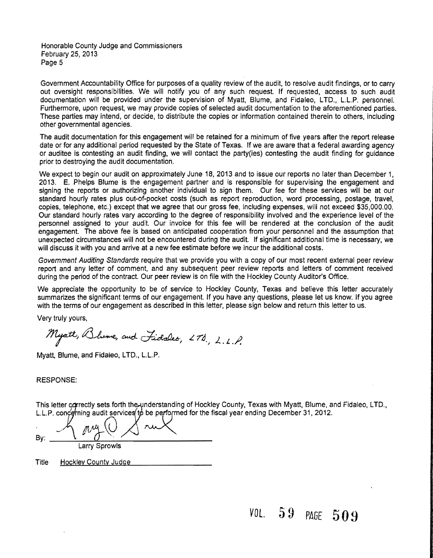Honorable County Judge and Commissioners February 25,2013 Page 5

Government Accountability Office for purposes of a quality review of the audit, to resolve audit findings, or to carry out oversight responsibilities. We will notify you of any such request. If requested. access to such audit documentation will be provided under the supervision of Myatt, Blume, and Fidaleo, LTD., L.L.P. personnel. Furthermore, upon request, we may provide copies of selected audit documentation to the aforementioned parties. These parties may intend, or decide, to distribute the copies or information contained therein to others, including other governmental agencies.

The audit documentation for this engagement will be retained for a minimum of five years after the report release date or for any additional period requested by the State of Texas. If we are aware that a federal awarding agency or auditee is contesting an audit finding, we will contact the party(ies) contesting the audit finding for guidance prior to destroying the audit documentation.

We expect to begin our audit on approximately June 18, 2013 and to issue our reports no later than December 1, 2013. E. Phelps Blume is the engagement partner and is responsible for supervising the engagement and signing the reports or authorizing another individual to sign them. Our fee for these services will be at our standard hourly rates plus out-of-pocket costs (such as report reproduction, word processing, postage, travel, copies, telephone, etc.) except that we agree that our gross fee, including expenses, will not exceed \$35,000.00. Our standard hourly rates vary according to the degree of responsibility involved and the experience level of the personnel assigned to your audit. Our invoice for this fee will be rendered at the conclusion of the audit engagement. The above fee is based on anticipated cooperation from your personnel and the assumption that unexpected circumstances will not be encountered during the audit. If significant additional time is necessary, we will discuss it with you and arrive at a new fee estimate before we incur the additional costs.

Government Auditing Standards require that we provide you with a copy of our most recent external peer review report and any letter of comment, and any subsequent peer review reports and letters of comment received during the period of the contract. Our peer review is on file with the Hockley County Auditor's Office.

We appreciate the opportunity to be of service to Hockley County, Texas and believe this letter accurately summarizes the significant terms of our engagement. If you have any questions, please let us know. If you agree with the terms of our engagement as described in this letter, please sign below and return this letter to us.

Very truly yours,

Myatt, Blume, and Fidales, 278, L.L.P.

Myatt, Blume, and Fidaleo, LTD., L.L.P.

RESPONSE:

This letter correctly sets forth the understanding of Hockley County, Texas with Myatt, Blume, and Fidaleo, LTD.,

L.L.P. concerning audit services to be performed for the fiscal year ending December 31, 2012.  $By:$  $\curvearrowright$   $\swarrowright$  $M_{\perp}$ ( 1L~*\_\_\_\_\_\_\_\_\_\_\_\_\_\_\_\_\_\_* ,,~ *\_\_* 

Larry Sprowls

Title Hockley County Judge

# *va L.* 5 9 PAGE 509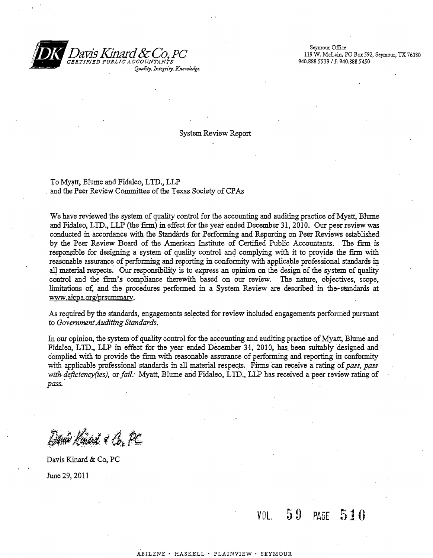

Seymour Office ,:, *CERTIFIED PUBLIC ACCOUNTANt-S* 940.888.5539/ f. 940.888.5450

System Review Report

To Myatt, Blume and Fidaleo, LID., LLP and the Peer Review Committee of the Texas Society of CPAs

We have reviewed the system of quality control for the accounting and auditing practice of Myatt, Blume and Fidaleo, LID., LLP (the firm) in effect for the year ended December 31,2010. Our peer review was conducted in accordance with the Standards for Performing and Reporting on Peer Reviews established by the Peer Review Board of the American Institute of Certified Public Accountants. The firm is responsible for designing a system of quality control and complying with it to provide the firm with reasonable assurance of performing and reporting in conformity with applicable professional standards in all material respects. Our responsibility is to express an opinion on the design of the system of quality control and the firm's compliance therewith based on our review. The nature, objectives, scope, limitations of, and the procedures performed in a System Review are described in the-standards at www.aicpa.org/prsummary.

As required by the standards, engagements selected for review included engagements performed pursuant to *Government Auditing Standards.* 

In our opinion, the system of quality control for the accounting and auditing practice of Myatt, Blume and Fidaleo, LID., LLP in effect for the year ended December 31, 2010, has. been suitably designed and complied with to provide the firm with reasonable assurance of performing and reporting in conformity with applicable professional standards in all material respects. Firms can receive a rating of *pass*, pass *with-deficiency(ies), or fail: Myatt, Blume and Fidaleo, LTD., LLP has received a peer review rating of pass.* 

Danie Kinad & Co. PC

Davis Kinard & Co, PC June 29,2011